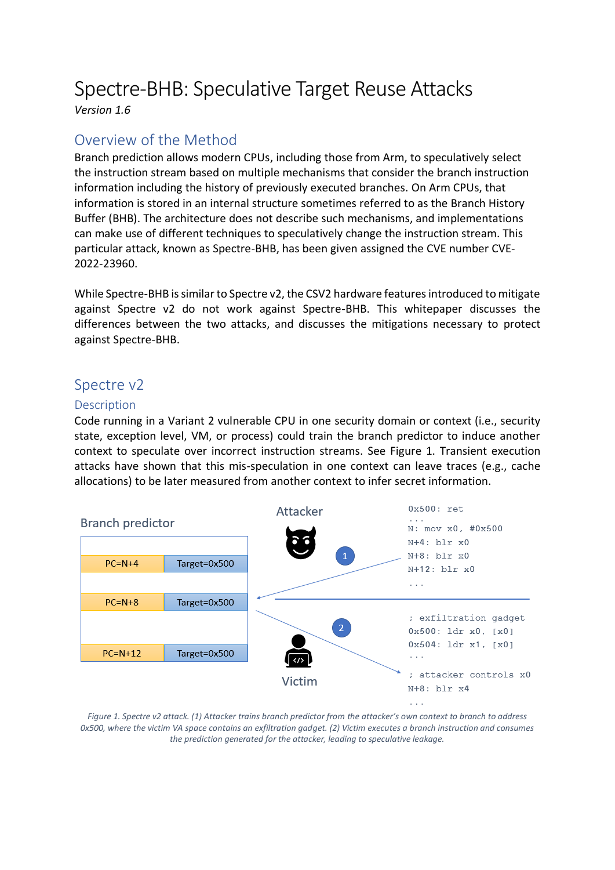# Spectre-BHB: Speculative Target Reuse Attacks

*Version 1.6*

# Overview of the Method

Branch prediction allows modern CPUs, including those from Arm, to speculatively select the instruction stream based on multiple mechanisms that consider the branch instruction information including the history of previously executed branches. On Arm CPUs, that information is stored in an internal structure sometimes referred to as the Branch History Buffer (BHB). The architecture does not describe such mechanisms, and implementations can make use of different techniques to speculatively change the instruction stream. This particular attack, known as Spectre-BHB, has been given assigned the CVE number CVE-2022-23960.

While Spectre-BHB is similar to Spectre v2, the CSV2 hardware features introduced to mitigate against Spectre v2 do not work against Spectre-BHB. This whitepaper discusses the differences between the two attacks, and discusses the mitigations necessary to protect against Spectre-BHB.

## Spectre v2

## Description

Code running in a Variant 2 vulnerable CPU in one security domain or context (i.e., security state, exception level, VM, or process) could train the branch predictor to induce another context to speculate over incorrect instruction streams. See Figure 1. Transient execution attacks have shown that this mis-speculation in one context can leave traces (e.g., cache allocations) to be later measured from another context to infer secret information.



*Figure 1. Spectre v2 attack. (1) Attacker trains branch predictor from the attacker's own context to branch to address 0x500, where the victim VA space contains an exfiltration gadget. (2) Victim executes a branch instruction and consumes the prediction generated for the attacker, leading to speculative leakage.*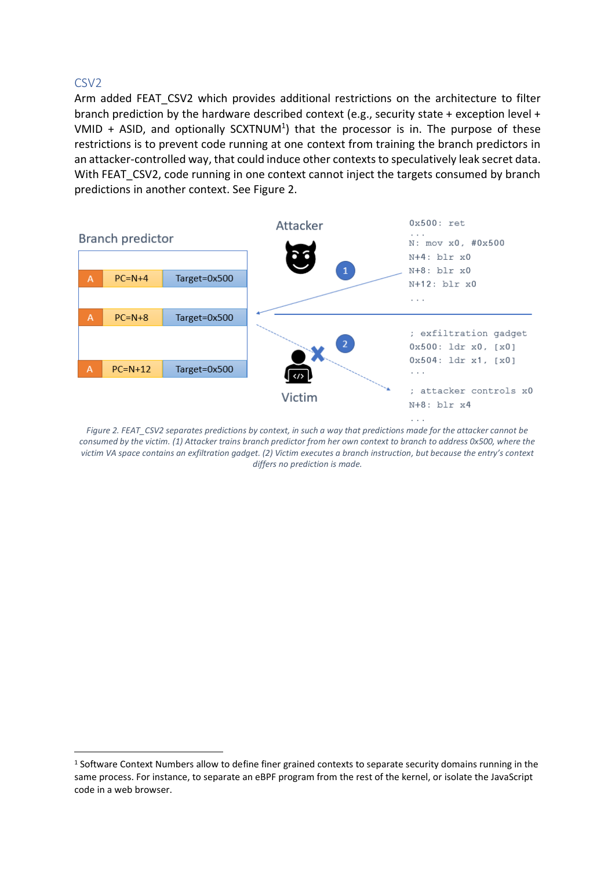## CSV2

Arm added FEAT CSV2 which provides additional restrictions on the architecture to filter branch prediction by the hardware described context (e.g., security state + exception level + VMID  $+$  ASID, and optionally SCXTNUM<sup>1</sup>) that the processor is in. The purpose of these restrictions is to prevent code running at one context from training the branch predictors in an attacker-controlled way, that could induce other contexts to speculatively leak secret data. With FEAT\_CSV2, code running in one context cannot inject the targets consumed by branch predictions in another context. See Figure 2.



*Figure 2. FEAT\_CSV2 separates predictions by context, in such a way that predictions made for the attacker cannot be consumed by the victim. (1) Attacker trains branch predictor from her own context to branch to address 0x500, where the victim VA space contains an exfiltration gadget. (2) Victim executes a branch instruction, but because the entry's context differs no prediction is made.*

<sup>&</sup>lt;sup>1</sup> Software Context Numbers allow to define finer grained contexts to separate security domains running in the same process. For instance, to separate an eBPF program from the rest of the kernel, or isolate the JavaScript code in a web browser.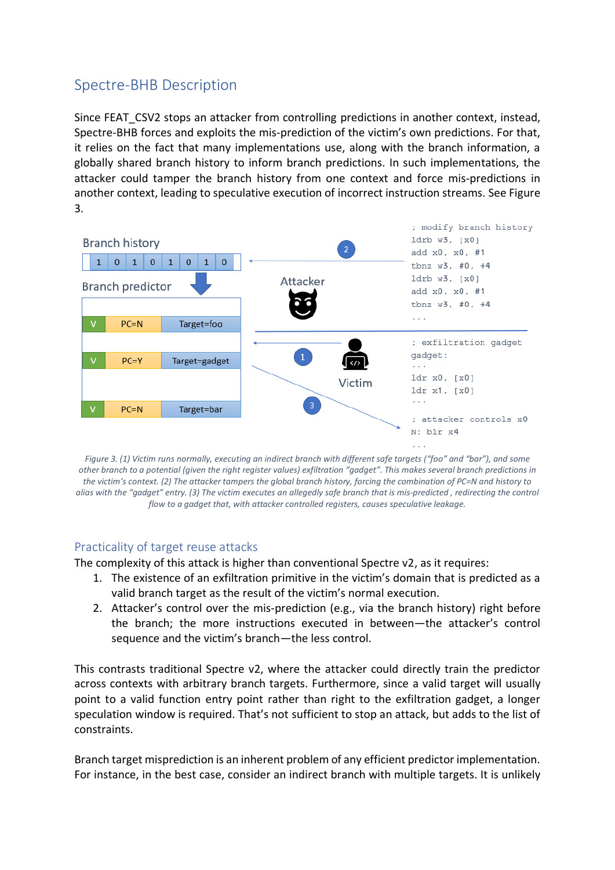# Spectre-BHB Description

Since FEAT CSV2 stops an attacker from controlling predictions in another context, instead, Spectre-BHB forces and exploits the mis-prediction of the victim's own predictions. For that, it relies on the fact that many implementations use, along with the branch information, a globally shared branch history to inform branch predictions. In such implementations, the attacker could tamper the branch history from one context and force mis-predictions in another context, leading to speculative execution of incorrect instruction streams. See Figure 3.



*Figure 3. (1) Victim runs normally, executing an indirect branch with different safe targets ("foo" and "bar"), and some other branch to a potential (given the right register values) exfiltration "gadget". This makes several branch predictions in the victim's context. (2) The attacker tampers the global branch history, forcing the combination of PC=N and history to alias with the "gadget" entry. (3) The victim executes an allegedly safe branch that is mis-predicted , redirecting the control flow to a gadget that, with attacker controlled registers, causes speculative leakage.*

### Practicality of target reuse attacks

The complexity of this attack is higher than conventional Spectre v2, as it requires:

- 1. The existence of an exfiltration primitive in the victim's domain that is predicted as a valid branch target as the result of the victim's normal execution.
- 2. Attacker's control over the mis-prediction (e.g., via the branch history) right before the branch; the more instructions executed in between—the attacker's control sequence and the victim's branch—the less control.

This contrasts traditional Spectre v2, where the attacker could directly train the predictor across contexts with arbitrary branch targets. Furthermore, since a valid target will usually point to a valid function entry point rather than right to the exfiltration gadget, a longer speculation window is required. That's not sufficient to stop an attack, but adds to the list of constraints.

Branch target misprediction is an inherent problem of any efficient predictor implementation. For instance, in the best case, consider an indirect branch with multiple targets. It is unlikely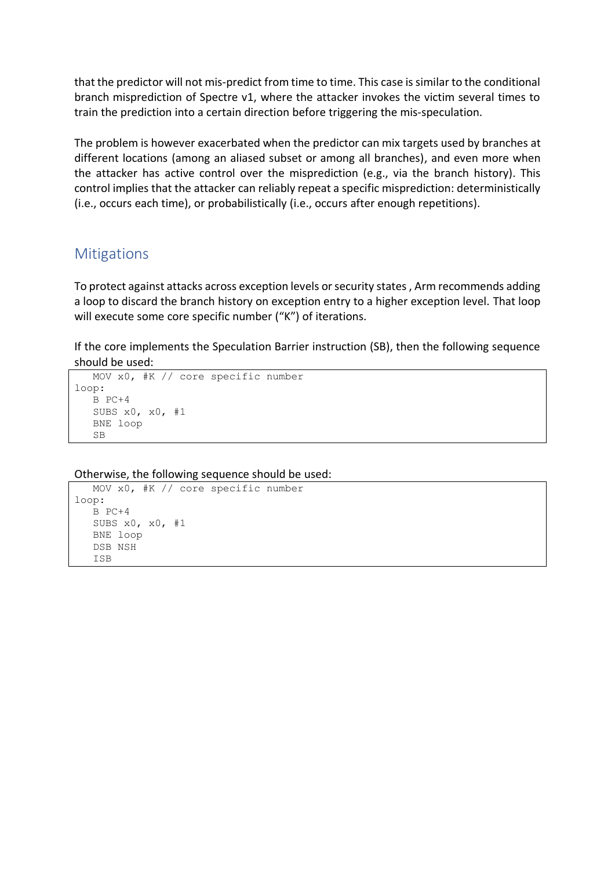that the predictor will not mis-predict from time to time. This case is similar to the conditional branch misprediction of Spectre v1, where the attacker invokes the victim several times to train the prediction into a certain direction before triggering the mis-speculation.

The problem is however exacerbated when the predictor can mix targets used by branches at different locations (among an aliased subset or among all branches), and even more when the attacker has active control over the misprediction (e.g., via the branch history). This control implies that the attacker can reliably repeat a specific misprediction: deterministically (i.e., occurs each time), or probabilistically (i.e., occurs after enough repetitions).

## **Mitigations**

To protect against attacks across exception levels or security states , Arm recommends adding a loop to discard the branch history on exception entry to a higher exception level. That loop will execute some core specific number ("K") of iterations.

If the core implements the Speculation Barrier instruction (SB), then the following sequence should be used:

```
 MOV x0, #K // core specific number 
loop: 
    B PC+4 
    SUBS x0, x0, #1 
    BNE loop
    SB
```
Otherwise, the following sequence should be used:

```
 MOV x0, #K // core specific number 
loop: 
   B PC+4 
    SUBS x0, x0, #1 
    BNE loop
    DSB NSH
    ISB
```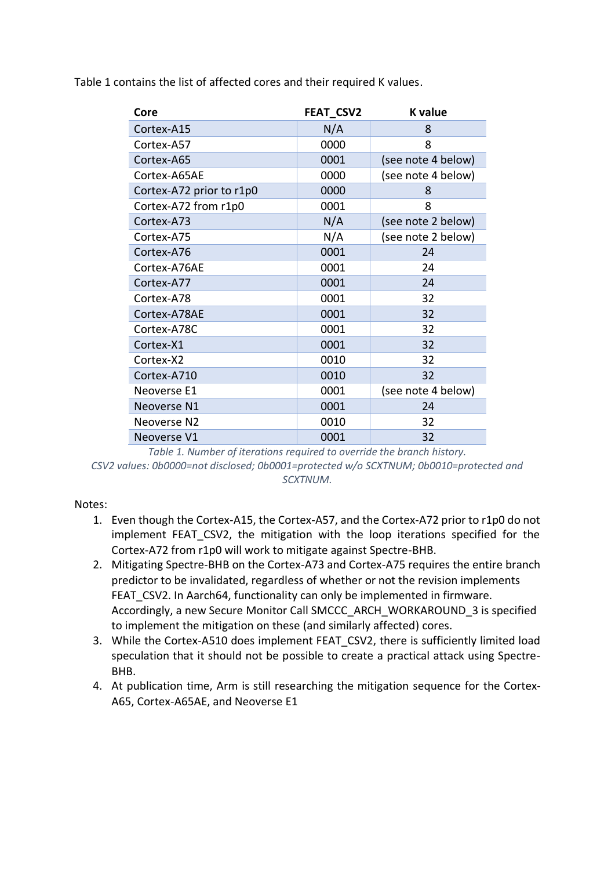Table 1 contains the list of affected cores and their required K values.

| Core                     | <b>FEAT CSV2</b> | <b>K</b> value     |
|--------------------------|------------------|--------------------|
| Cortex-A15               | N/A              | 8                  |
| Cortex-A57               | 0000             | 8                  |
| Cortex-A65               | 0001             | (see note 4 below) |
| Cortex-A65AE             | 0000             | (see note 4 below) |
| Cortex-A72 prior to r1p0 | 0000             | 8                  |
| Cortex-A72 from r1p0     | 0001             | 8                  |
| Cortex-A73               | N/A              | (see note 2 below) |
| Cortex-A75               | N/A              | (see note 2 below) |
| Cortex-A76               | 0001             | 24                 |
| Cortex-A76AE             | 0001             | 24                 |
| Cortex-A77               | 0001             | 24                 |
| Cortex-A78               | 0001             | 32                 |
| Cortex-A78AE             | 0001             | 32                 |
| Cortex-A78C              | 0001             | 32                 |
| Cortex-X1                | 0001             | 32                 |
| Cortex-X2                | 0010             | 32                 |
| Cortex-A710              | 0010             | 32                 |
| Neoverse E1              | 0001             | (see note 4 below) |
| Neoverse N1              | 0001             | 24                 |
| Neoverse N2              | 0010             | 32                 |
| Neoverse V1              | 0001             | 32                 |

*Table 1. Number of iterations required to override the branch history. CSV2 values: 0b0000=not disclosed; 0b0001=protected w/o SCXTNUM; 0b0010=protected and SCXTNUM.* 

### Notes:

- 1. Even though the Cortex-A15, the Cortex-A57, and the Cortex-A72 prior to r1p0 do not implement FEAT CSV2, the mitigation with the loop iterations specified for the Cortex-A72 from r1p0 will work to mitigate against Spectre-BHB.
- 2. Mitigating Spectre-BHB on the Cortex-A73 and Cortex-A75 requires the entire branch predictor to be invalidated, regardless of whether or not the revision implements FEAT CSV2. In Aarch64, functionality can only be implemented in firmware. Accordingly, a new Secure Monitor Call SMCCC\_ARCH\_WORKAROUND\_3 is specified to implement the mitigation on these (and similarly affected) cores.
- 3. While the Cortex-A510 does implement FEAT CSV2, there is sufficiently limited load speculation that it should not be possible to create a practical attack using Spectre-BHB.
- 4. At publication time, Arm is still researching the mitigation sequence for the Cortex-A65, Cortex-A65AE, and Neoverse E1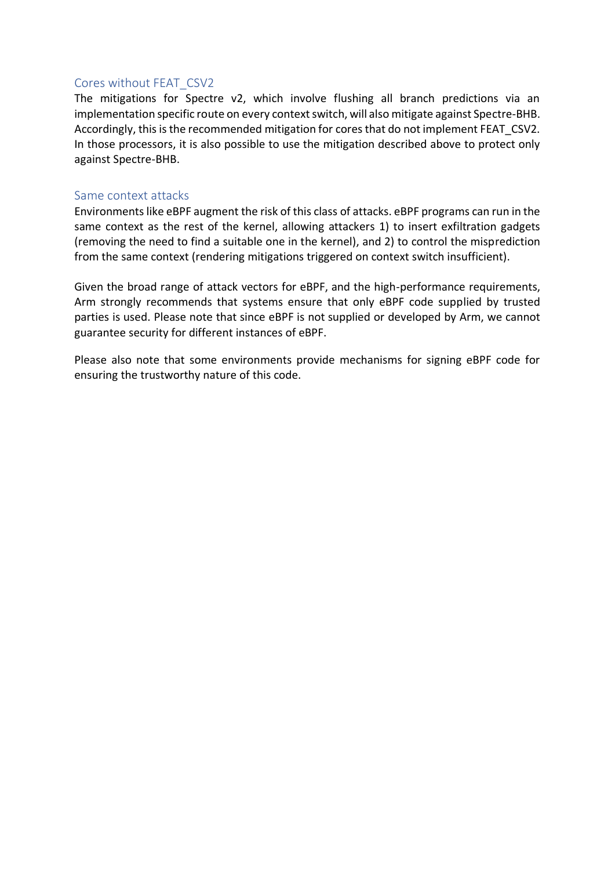#### Cores without FEAT\_CSV2

The mitigations for Spectre v2, which involve flushing all branch predictions via an implementation specific route on every context switch, will also mitigate against Spectre-BHB. Accordingly, this is the recommended mitigation for cores that do not implement FEAT\_CSV2. In those processors, it is also possible to use the mitigation described above to protect only against Spectre-BHB.

#### Same context attacks

Environments like eBPF augment the risk of this class of attacks. eBPF programs can run in the same context as the rest of the kernel, allowing attackers 1) to insert exfiltration gadgets (removing the need to find a suitable one in the kernel), and 2) to control the misprediction from the same context (rendering mitigations triggered on context switch insufficient).

Given the broad range of attack vectors for eBPF, and the high-performance requirements, Arm strongly recommends that systems ensure that only eBPF code supplied by trusted parties is used. Please note that since eBPF is not supplied or developed by Arm, we cannot guarantee security for different instances of eBPF.

Please also note that some environments provide mechanisms for signing eBPF code for ensuring the trustworthy nature of this code.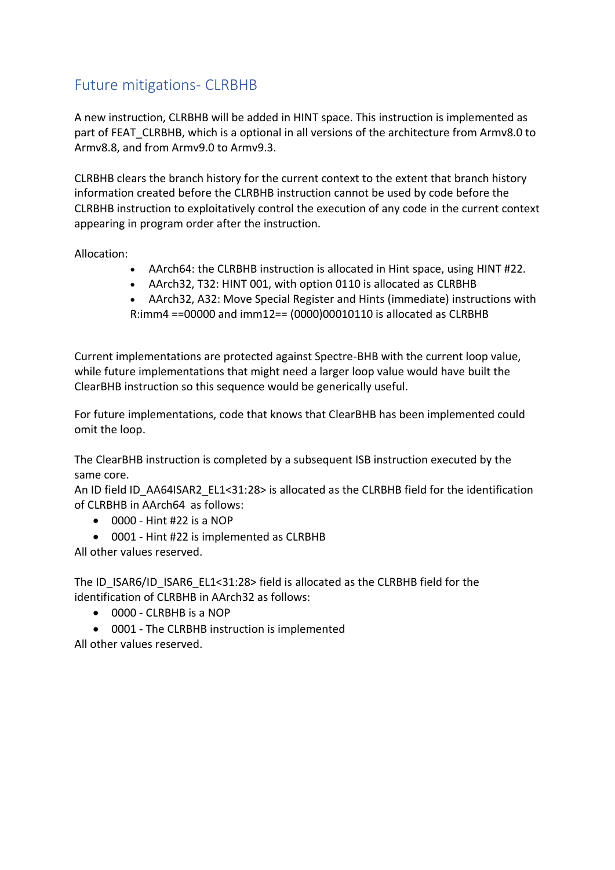# Future mitigations- CLRBHB

A new instruction, CLRBHB will be added in HINT space. This instruction is implemented as part of FEAT\_CLRBHB, which is a optional in all versions of the architecture from Armv8.0 to Armv8.8, and from Armv9.0 to Armv9.3.

CLRBHB clears the branch history for the current context to the extent that branch history information created before the CLRBHB instruction cannot be used by code before the CLRBHB instruction to exploitatively control the execution of any code in the current context appearing in program order after the instruction.

Allocation:

- AArch64: the CLRBHB instruction is allocated in Hint space, using HINT #22.
- AArch32, T32: HINT 001, with option 0110 is allocated as CLRBHB
- AArch32, A32: Move Special Register and Hints (immediate) instructions with R:imm4 ==00000 and imm12== (0000)00010110 is allocated as CLRBHB

Current implementations are protected against Spectre-BHB with the current loop value, while future implementations that might need a larger loop value would have built the ClearBHB instruction so this sequence would be generically useful.

For future implementations, code that knows that ClearBHB has been implemented could omit the loop.

The ClearBHB instruction is completed by a subsequent ISB instruction executed by the same core.

An ID field ID\_AA64ISAR2\_EL1<31:28> is allocated as the CLRBHB field for the identification of CLRBHB in AArch64 as follows:

- $\bullet$  0000 Hint #22 is a NOP
- 0001 Hint #22 is implemented as CLRBHB

All other values reserved.

The ID\_ISAR6/ID\_ISAR6\_EL1<31:28> field is allocated as the CLRBHB field for the identification of CLRBHB in AArch32 as follows:

- $\bullet$  0000 CLRBHB is a NOP
- 0001 The CLRBHB instruction is implemented All other values reserved.